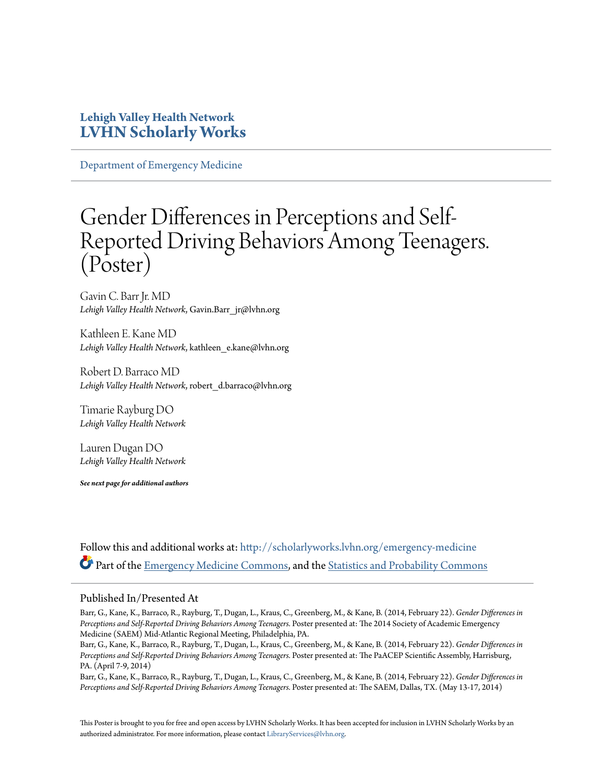#### **Lehigh Valley Health Network [LVHN Scholarly Works](http://scholarlyworks.lvhn.org?utm_source=scholarlyworks.lvhn.org%2Femergency-medicine%2F253&utm_medium=PDF&utm_campaign=PDFCoverPages)**

[Department of Emergency Medicine](http://scholarlyworks.lvhn.org/emergency-medicine?utm_source=scholarlyworks.lvhn.org%2Femergency-medicine%2F253&utm_medium=PDF&utm_campaign=PDFCoverPages)

#### Gender Differences in Perceptions and Self-Reported Driving Behaviors Among Teenagers. (Poster)

Gavin C. Barr Jr. MD *Lehigh Valley Health Network*, Gavin.Barr\_jr@lvhn.org

Kathleen E. Kane MD *Lehigh Valley Health Network*, kathleen\_e.kane@lvhn.org

Robert D. Barraco MD *Lehigh Valley Health Network*, robert\_d.barraco@lvhn.org

Timarie Rayburg DO *Lehigh Valley Health Network*

Lauren Dugan DO *Lehigh Valley Health Network*

*See next page for additional authors*

Follow this and additional works at: [http://scholarlyworks.lvhn.org/emergency-medicine](http://scholarlyworks.lvhn.org/emergency-medicine?utm_source=scholarlyworks.lvhn.org%2Femergency-medicine%2F253&utm_medium=PDF&utm_campaign=PDFCoverPages) Part of the [Emergency Medicine Commons,](http://network.bepress.com/hgg/discipline/685?utm_source=scholarlyworks.lvhn.org%2Femergency-medicine%2F253&utm_medium=PDF&utm_campaign=PDFCoverPages) and the [Statistics and Probability Commons](http://network.bepress.com/hgg/discipline/208?utm_source=scholarlyworks.lvhn.org%2Femergency-medicine%2F253&utm_medium=PDF&utm_campaign=PDFCoverPages)

#### Published In/Presented At

Barr, G., Kane, K., Barraco, R., Rayburg, T., Dugan, L., Kraus, C., Greenberg, M., & Kane, B. (2014, February 22). *Gender Differences in Perceptions and Self-Reported Driving Behaviors Among Teenagers.* Poster presented at: The 2014 Society of Academic Emergency Medicine (SAEM) Mid-Atlantic Regional Meeting, Philadelphia, PA.

Barr, G., Kane, K., Barraco, R., Rayburg, T., Dugan, L., Kraus, C., Greenberg, M., & Kane, B. (2014, February 22). *Gender Differences in Perceptions and Self-Reported Driving Behaviors Among Teenagers.* Poster presented at: The PaACEP Scientific Assembly, Harrisburg, PA. (April 7-9, 2014)

Barr, G., Kane, K., Barraco, R., Rayburg, T., Dugan, L., Kraus, C., Greenberg, M., & Kane, B. (2014, February 22). *Gender Differences in Perceptions and Self-Reported Driving Behaviors Among Teenagers.* Poster presented at: The SAEM, Dallas, TX. (May 13-17, 2014)

This Poster is brought to you for free and open access by LVHN Scholarly Works. It has been accepted for inclusion in LVHN Scholarly Works by an authorized administrator. For more information, please contact [LibraryServices@lvhn.org.](mailto:LibraryServices@lvhn.org)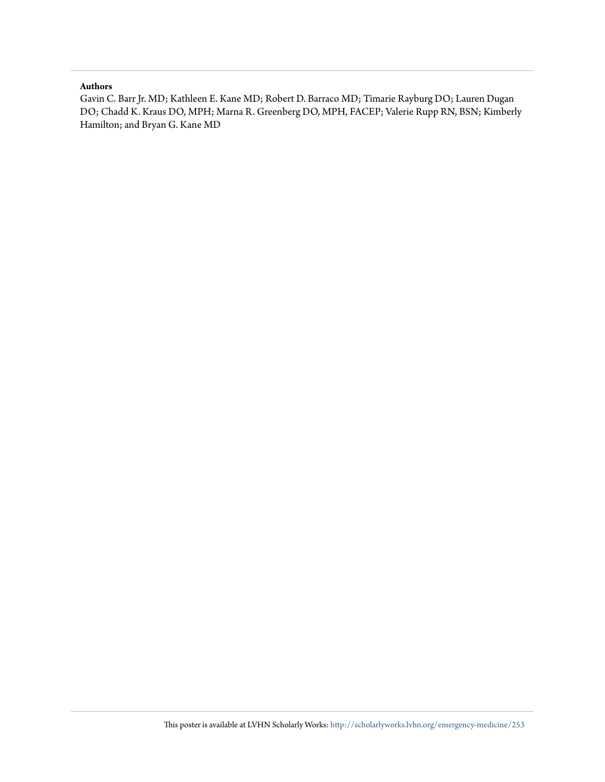#### **Authors**

Gavin C. Barr Jr. MD; Kathleen E. Kane MD; Robert D. Barraco MD; Timarie Rayburg DO; Lauren Dugan DO; Chadd K. Kraus DO, MPH; Marna R. Greenberg DO, MPH, FACEP; Valerie Rupp RN, BSN; Kimberly Hamilton; and Bryan G. Kane MD